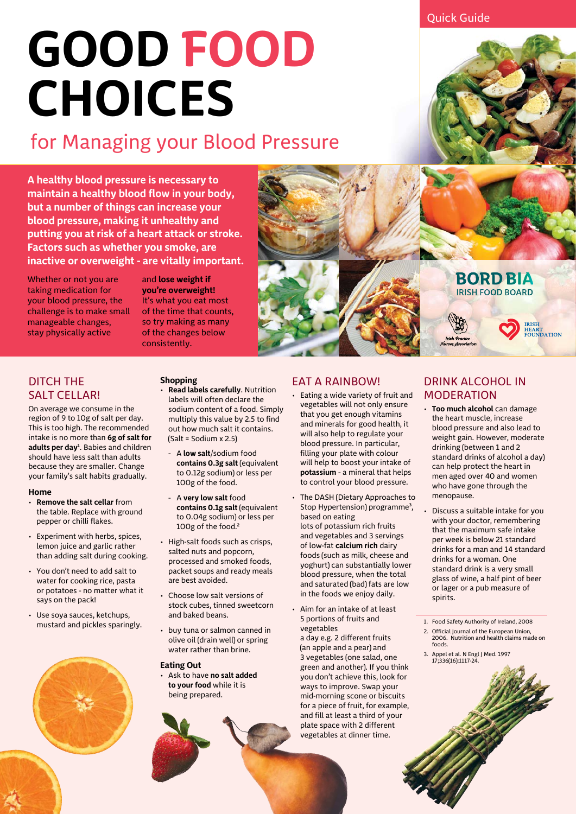Quick Guide

# **GOOD FOOD CHOICES**

### for Managing your Blood Pressure

**A healthy blood pressure is necessary to maintain a healthy blood flow in your body, but a number of things can increase your blood pressure, making it unhealthy and putting you at risk of a heart attack or stroke. Factors such as whether you smoke, are inactive or overweight - are vitally important.**

Whether or not you are taking medication for your blood pressure, the challenge is to make small manageable changes, stay physically active

and **lose weight if you're overweight!** It's what you eat most of the time that counts, so try making as many of the changes below consistently.

#### DITCH THE SALT CELLAR!

On average we consume in the region of 9 to 10g of salt per day. This is too high. The recommended intake is no more than **6g of salt for adults per day1** . Babies and children should have less salt than adults because they are smaller. Change your family's salt habits gradually.

#### **Home**

- **Remove the salt cellar** from the table. Replace with ground pepper or chilli flakes.
- Experiment with herbs, spices, lemon juice and garlic rather than adding salt during cooking.
- You don't need to add salt to water for cooking rice, pasta or potatoes – no matter what it says on the pack!
- Use soya sauces, ketchups, mustard and pickles sparingly.



#### **Shopping**

- **Read labels carefully**. Nutrition labels will often declare the sodium content of a food. Simply multiply this value by 2.5 to find out how much salt it contains. (Salt = Sodium x 2.5)
	- A **low salt**/sodium food **contains 0.3g salt** (equivalent to 0.12g sodium) or less per 100g of the food.
- A **very low salt** food **contains 0.1g salt** (equivalent to 0.04g sodium) or less per 100g of the food.**<sup>2</sup>**
- High-salt foods such as crisps, salted nuts and popcorn, processed and smoked foods, packet soups and ready meals are best avoided.
- Choose low salt versions of stock cubes, tinned sweetcorn and baked beans.
- buy tuna or salmon canned in olive oil (drain well) or spring water rather than brine.

#### **Eating Out**

• Ask to have **no salt added to your food** while it is being prepared.

#### EAT A RAINBOW!

- Eating a wide variety of fruit and vegetables will not only ensure that you get enough vitamins and minerals for good health, it will also help to regulate your blood pressure. In particular, filling your plate with colour will help to boost your intake of **potassium** – a mineral that helps to control your blood pressure.
- The DASH (Dietary Approaches to Stop Hypertension) programme**<sup>3</sup>** , based on eating lots of potassium rich fruits and vegetables and 3 servings of low-fat **calcium rich** dairy foods (such as milk, cheese and yoghurt) can substantially lower blood pressure, when the total and saturated (bad) fats are low in the foods we enjoy daily.
- Aim for an intake of at least 5 portions of fruits and vegetables a day e.g. 2 different fruits (an apple and a pear) and 3 vegetables (one salad, one green and another). If you think you don't achieve this, look for ways to improve. Swap your mid-morning scone or biscuits for a piece of fruit, for example, and fill at least a third of your plate space with 2 different vegetables at dinner time.



**BORD BIA IRISH FOOD BOARD** 

IRISH<br>HEART<br>FOUNDATION

#### DRINK ALCOHOL IN MODERATION

- **Too much alcohol** can damage the heart muscle, increase blood pressure and also lead to weight gain. However, moderate drinking (between 1 and 2 standard drinks of alcohol a day) can help protect the heart in men aged over 40 and women who have gone through the menopause.
- Discuss a suitable intake for you with your doctor, remembering that the maximum safe intake per week is below 21 standard drinks for a man and 14 standard drinks for a woman. One standard drink is a very small glass of wine, a half pint of beer or lager or a pub measure of spirits.

1. Food Safety Authority of Ireland, 2008

- 2. Official Journal of the European Union, 2006. Nutrition and health claims made on foods.
- 3. Appel et al. N Engl J Med. 1997 17;336(16):1117-24.